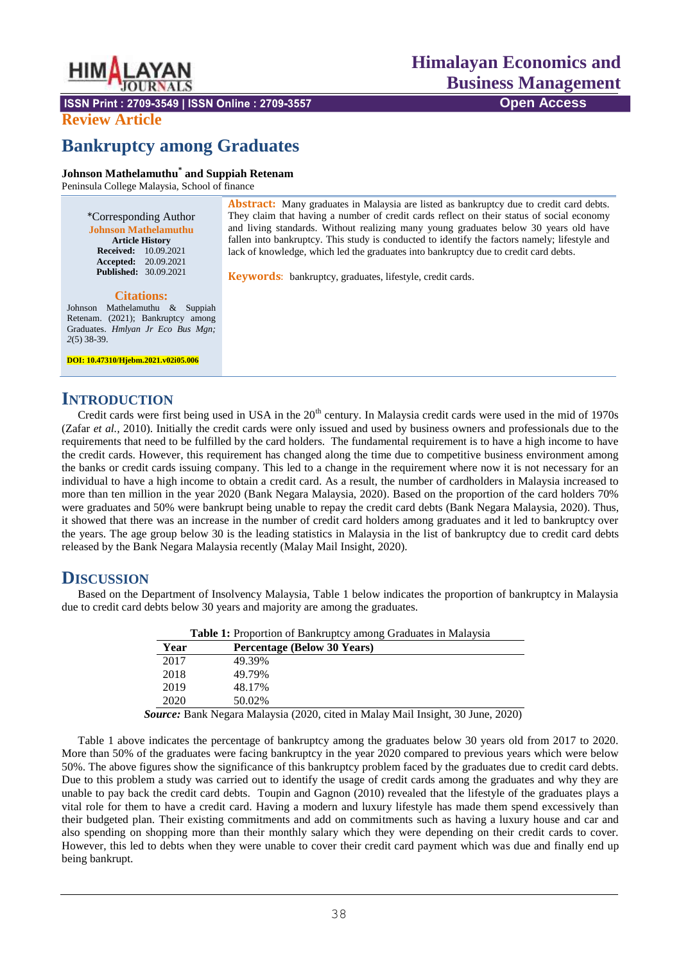

ISSN Print: 2709-3549 | ISSN Online: 2709-3557

#### **Review Article**

# **Bankruptcy among Graduates**

#### **Johnson Mathelamuthu\* and Suppiah Retenam**

Peninsula College Malaysia, School of finance

\*Corresponding Author **Johnson Mathelamuthu Article History Received:** 10.09.2021 **Accepted:** 20.09.2021 **Published:** 30.09.2021

#### **Citations:**

Johnson Mathelamuthu & Suppiah Retenam. (2021); Bankruptcy among Graduates. *Hmlyan Jr Eco Bus Mgn; 2*(5) 38-39.

**DOI: 10.47310/Hjebm.2021.v02i05.006**

#### **INTRODUCTION**

Credit cards were first being used in USA in the  $20<sup>th</sup>$  century. In Malaysia credit cards were used in the mid of 1970s (Zafar *et al.,* 2010). Initially the credit cards were only issued and used by business owners and professionals due to the requirements that need to be fulfilled by the card holders. The fundamental requirement is to have a high income to have the credit cards. However, this requirement has changed along the time due to competitive business environment among the banks or credit cards issuing company. This led to a change in the requirement where now it is not necessary for an individual to have a high income to obtain a credit card. As a result, the number of cardholders in Malaysia increased to more than ten million in the year 2020 (Bank Negara Malaysia, 2020). Based on the proportion of the card holders 70% were graduates and 50% were bankrupt being unable to repay the credit card debts (Bank Negara Malaysia, 2020). Thus, it showed that there was an increase in the number of credit card holders among graduates and it led to bankruptcy over the years. The age group below 30 is the leading statistics in Malaysia in the list of bankruptcy due to credit card debts released by the Bank Negara Malaysia recently (Malay Mail Insight, 2020).

### **DISCUSSION**

Based on the Department of Insolvency Malaysia, Table 1 below indicates the proportion of bankruptcy in Malaysia due to credit card debts below 30 years and majority are among the graduates.

| <b>Table 1:</b> Proportion of Bankruptcy among Graduates in Malaysia |                                                                                        |
|----------------------------------------------------------------------|----------------------------------------------------------------------------------------|
| Year                                                                 | <b>Percentage (Below 30 Years)</b>                                                     |
| 2017                                                                 | 49.39%                                                                                 |
| 2018                                                                 | 49.79%                                                                                 |
| 2019                                                                 | 48.17%                                                                                 |
| 2020                                                                 | 50.02%                                                                                 |
|                                                                      | <b>Source:</b> Bank Negara Malaysia (2020, cited in Malay Mail Insight, 30 June, 2020) |

Table 1 above indicates the percentage of bankruptcy among the graduates below 30 years old from 2017 to 2020. More than 50% of the graduates were facing bankruptcy in the year 2020 compared to previous years which were below 50%. The above figures show the significance of this bankruptcy problem faced by the graduates due to credit card debts. Due to this problem a study was carried out to identify the usage of credit cards among the graduates and why they are unable to pay back the credit card debts. Toupin and Gagnon (2010) revealed that the lifestyle of the graduates plays a vital role for them to have a credit card. Having a modern and luxury lifestyle has made them spend excessively than their budgeted plan. Their existing commitments and add on commitments such as having a luxury house and car and also spending on shopping more than their monthly salary which they were depending on their credit cards to cover. However, this led to debts when they were unable to cover their credit card payment which was due and finally end up being bankrupt.

Abstract: Many graduates in Malaysia are listed as bankruptcy due to credit card debts. They claim that having a number of credit cards reflect on their status of social economy and living standards. Without realizing many young graduates below 30 years old have fallen into bankruptcy. This study is conducted to identify the factors namely; lifestyle and lack of knowledge, which led the graduates into bankruptcy due to credit card debts.

**Keywords**: bankruptcy, graduates, lifestyle, credit cards.